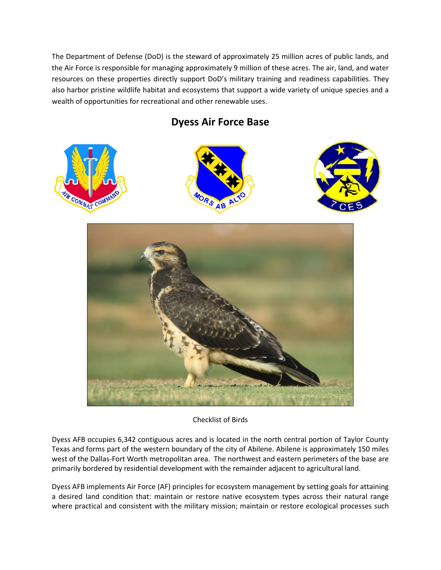The Department of Defense (DoD) is the steward of approximately 25 million acres of public lands, and the Air Force is responsible for managing approximately 9 million of these acres. The air, land, and water resources on these properties directly support DoD's military training and readiness capabilities. They also harbor pristine wildlife habitat and ecosystems that support a wide variety of unique species and a wealth of opportunities for recreational and other renewable uses.

**Dyess Air Force Base**





Checklist of Birds

Dyess AFB occupies 6,342 contiguous acres and is located in the north central portion of Taylor County Texas and forms part of the western boundary of the city of Abilene. Abilene is approximately 150 miles west of the Dallas-Fort Worth metropolitan area. The northwest and eastern perimeters of the base are primarily bordered by residential development with the remainder adjacent to agricultural land.

Dyess AFB implements Air Force (AF) principles for ecosystem management by setting goals for attaining a desired land condition that: maintain or restore native ecosystem types across their natural range where practical and consistent with the military mission; maintain or restore ecological processes such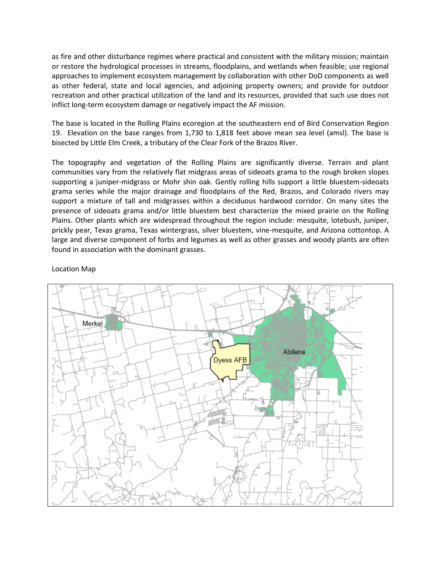as fire and other disturbance regimes where practical and consistent with the military mission; maintain or restore the hydrological processes in streams, floodplains, and wetlands when feasible; use regional approaches to implement ecosystem management by collaboration with other DoD components as well as other federal, state and local agencies, and adjoining property owners; and provide for outdoor recreation and other practical utilization of the land and its resources, provided that such use does not inflict long-term ecosystem damage or negatively impact the AF mission.

The base is located in the Rolling Plains ecoregion at the southeastern end of Bird Conservation Region 19. Elevation on the base ranges from 1,730 to 1,818 feet above mean sea level (amsl). The base is bisected by Little Elm Creek, a tributary of the Clear Fork of the Brazos River.

The topography and vegetation of the Rolling Plains are significantly diverse. Terrain and plant communities vary from the relatively flat midgrass areas of sideoats grama to the rough broken slopes supporting a juniper-midgrass or Mohr shin oak. Gently rolling hills support a little bluestem-sideoats grama series while the major drainage and floodplains of the Red, Brazos, and Colorado rivers may support a mixture of tall and midgrasses within a deciduous hardwood corridor. On many sites the presence of sideoats grama and/or little bluestem best characterize the mixed prairie on the Rolling Plains. Other plants which are widespread throughout the region include: mesquite, lotebush, juniper, prickly pear, Texas grama, Texas wintergrass, silver bluestem, vine-mesquite, and Arizona cottontop. A large and diverse component of forbs and legumes as well as other grasses and woody plants are often found in association with the dominant grasses.

## Location Map

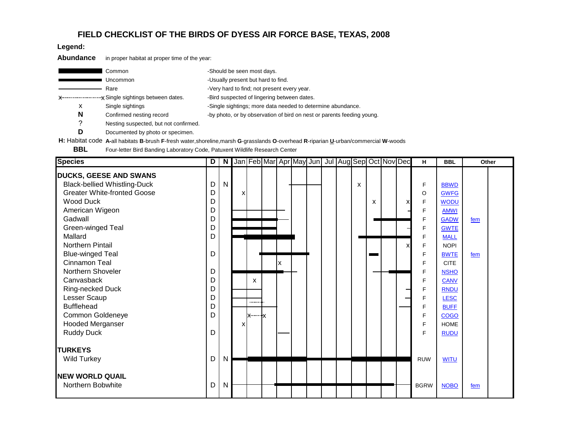## **FIELD CHECKLIST OF THE BIRDS OF DYESS AIR FORCE BASE, TEXAS, 2008**

**Legend:**

**Abundance** in proper habitat at proper time of the year:

|   | Common                                | -Should be seen most days.                                             |
|---|---------------------------------------|------------------------------------------------------------------------|
|   | Uncommon                              | -Usually present but hard to find.                                     |
|   | Rare                                  | -Very hard to find; not present every year.                            |
|   |                                       | -Bird suspected of lingering between dates.                            |
| х | Single sightings                      | -Single sightings; more data needed to determine abundance.            |
| N | Confirmed nesting record              | -by photo, or by observation of bird on nest or parents feeding young. |
| っ | Nesting suspected, but not confirmed. |                                                                        |

**D** Documented by photo or specimen.

**H:** Habitat code **A-**all habitats **B**-brush **F**-fresh water,shoreline,marsh **G**-grasslands **O**-overhead **R**-riparian **U**-urban/commercial **W**-woods

**BBL** Four-letter Bird Banding Laboratory Code, Patuxent Wildlife Research Center

| <b>Species</b>                      |   |    |   |   |   |  | D   N   Jan   Feb   Mar   Apr   May  Jun   Jul   Aug  Sep  Oct   Nov   Dec |   |   |   | H           | <b>BBL</b>  |     | Other |
|-------------------------------------|---|----|---|---|---|--|----------------------------------------------------------------------------|---|---|---|-------------|-------------|-----|-------|
| <b>DUCKS, GEESE AND SWANS</b>       |   |    |   |   |   |  |                                                                            |   |   |   |             |             |     |       |
| <b>Black-bellied Whistling-Duck</b> | D | N. |   |   |   |  |                                                                            | x |   |   | F           | <b>BBWD</b> |     |       |
| <b>Greater White-fronted Goose</b>  | D |    | x |   |   |  |                                                                            |   |   |   | O           | <b>GWFG</b> |     |       |
| <b>Wood Duck</b>                    | D |    |   |   |   |  |                                                                            |   | x | x | F           | <b>WODU</b> |     |       |
| American Wigeon                     | D |    |   |   |   |  |                                                                            |   |   |   | F           | <b>AMWI</b> |     |       |
| Gadwall                             | D |    |   |   |   |  |                                                                            |   |   |   | F           | <b>GADW</b> | fem |       |
| Green-winged Teal                   | D |    |   |   |   |  |                                                                            |   |   |   | F           | <b>GWTE</b> |     |       |
| Mallard                             | D |    |   |   |   |  |                                                                            |   |   |   | F           | <b>MALL</b> |     |       |
| Northern Pintail                    |   |    |   |   |   |  |                                                                            |   |   | X | F           | <b>NOPI</b> |     |       |
| <b>Blue-winged Teal</b>             | D |    |   |   |   |  |                                                                            |   |   |   | F           | <b>BWTE</b> | fem |       |
| Cinnamon Teal                       |   |    |   |   | x |  |                                                                            |   |   |   | F           | <b>CITE</b> |     |       |
| Northern Shoveler                   | D |    |   |   |   |  |                                                                            |   |   |   | F           | <b>NSHO</b> |     |       |
| Canvasback                          | D |    |   | x |   |  |                                                                            |   |   |   | F           | <b>CANV</b> |     |       |
| Ring-necked Duck                    | D |    |   |   |   |  |                                                                            |   |   |   | F           | <b>RNDU</b> |     |       |
| Lesser Scaup                        | D |    |   | . |   |  |                                                                            |   |   |   | F           | <b>LESC</b> |     |       |
| <b>Bufflehead</b>                   | D |    |   |   |   |  |                                                                            |   |   |   | F           | <b>BUFF</b> |     |       |
| Common Goldeneye                    | D |    |   |   |   |  |                                                                            |   |   |   | F.          | <b>COGO</b> |     |       |
| <b>Hooded Merganser</b>             |   |    | X |   |   |  |                                                                            |   |   |   | F           | <b>HOME</b> |     |       |
| <b>Ruddy Duck</b>                   | D |    |   |   |   |  |                                                                            |   |   |   | F.          | <b>RUDU</b> |     |       |
| <b>TURKEYS</b>                      |   |    |   |   |   |  |                                                                            |   |   |   |             |             |     |       |
| <b>Wild Turkey</b>                  | D | N  |   |   |   |  |                                                                            |   |   |   | <b>RUW</b>  | <b>WITU</b> |     |       |
| <b>NEW WORLD QUAIL</b>              |   |    |   |   |   |  |                                                                            |   |   |   |             |             |     |       |
| Northern Bobwhite                   | D | N  |   |   |   |  |                                                                            |   |   |   | <b>BGRW</b> | <b>NOBO</b> | fem |       |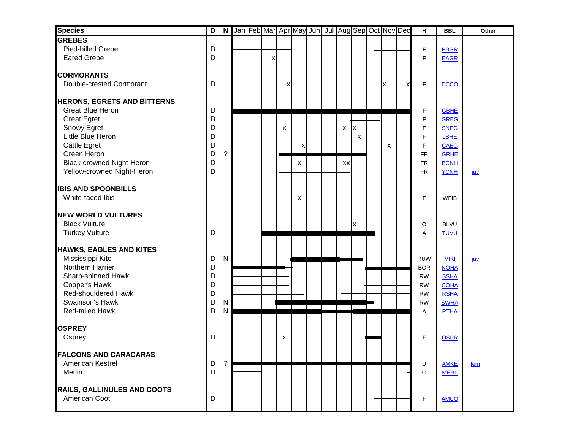| <b>Species</b>                       | $\overline{\mathsf{D}}$ |                |  |   |   |   |  |    |   | N Jan Feb Mar Apr May Jun Jul Aug Sep Oct Nov Dec |   | $\boldsymbol{\mathsf{H}}$ | <b>BBL</b>                 |            | Other |
|--------------------------------------|-------------------------|----------------|--|---|---|---|--|----|---|---------------------------------------------------|---|---------------------------|----------------------------|------------|-------|
| <b>GREBES</b>                        |                         |                |  |   |   |   |  |    |   |                                                   |   |                           |                            |            |       |
| Pied-billed Grebe                    | D                       |                |  |   |   |   |  |    |   |                                                   |   | F                         | <b>PBGR</b>                |            |       |
| <b>Eared Grebe</b>                   | D                       |                |  | X |   |   |  |    |   |                                                   |   | F                         | <b>EAGR</b>                |            |       |
| <b>CORMORANTS</b>                    |                         |                |  |   |   |   |  |    |   |                                                   |   |                           |                            |            |       |
| Double-crested Cormorant             | D                       |                |  |   |   |   |  |    |   |                                                   |   |                           |                            |            |       |
|                                      |                         |                |  |   | x |   |  |    |   | X                                                 | X | F                         | <b>DCCO</b>                |            |       |
| <b>HERONS, EGRETS AND BITTERNS</b>   |                         |                |  |   |   |   |  |    |   |                                                   |   |                           |                            |            |       |
| Great Blue Heron                     | D                       |                |  |   |   |   |  |    |   |                                                   |   | F                         | <b>GBHE</b>                |            |       |
| <b>Great Egret</b>                   | D                       |                |  |   |   |   |  |    |   |                                                   |   | F                         | <b>GREG</b>                |            |       |
| Snowy Egret                          | D                       |                |  |   | X |   |  | X  | X |                                                   |   | F                         | <b>SNEG</b>                |            |       |
| Little Blue Heron                    | D                       |                |  |   |   |   |  |    | X |                                                   |   | F                         | LBHE                       |            |       |
| Cattle Egret                         | D                       |                |  |   |   | X |  |    |   | x                                                 |   | F                         | <b>CAEG</b>                |            |       |
| Green Heron                          | D                       | $\tilde{?}$    |  |   |   |   |  |    |   |                                                   |   | <b>FR</b>                 | <b>GRHE</b>                |            |       |
| Black-crowned Night-Heron            | D                       |                |  |   |   | X |  | XX |   |                                                   |   | <b>FR</b>                 | <b>BCNH</b>                |            |       |
| Yellow-crowned Night-Heron           | D                       |                |  |   |   |   |  |    |   |                                                   |   | FR.                       | <b>YCNH</b>                | <u>juv</u> |       |
| <b>IBIS AND SPOONBILLS</b>           |                         |                |  |   |   |   |  |    |   |                                                   |   |                           |                            |            |       |
| White-faced Ibis                     |                         |                |  |   |   | X |  |    |   |                                                   |   | F                         | <b>WFIB</b>                |            |       |
|                                      |                         |                |  |   |   |   |  |    |   |                                                   |   |                           |                            |            |       |
| <b>NEW WORLD VULTURES</b>            |                         |                |  |   |   |   |  |    |   |                                                   |   |                           |                            |            |       |
| <b>Black Vulture</b>                 |                         |                |  |   |   |   |  |    | X |                                                   |   | O                         | <b>BLVU</b>                |            |       |
| <b>Turkey Vulture</b>                | D                       |                |  |   |   |   |  |    |   |                                                   |   | A                         | <b>TUVU</b>                |            |       |
|                                      |                         |                |  |   |   |   |  |    |   |                                                   |   |                           |                            |            |       |
| <b>HAWKS, EAGLES AND KITES</b>       |                         |                |  |   |   |   |  |    |   |                                                   |   |                           |                            |            |       |
| Mississippi Kite                     | D                       | $\mathsf{N}$   |  |   |   |   |  |    |   |                                                   |   | <b>RUW</b>                | <b>MIKI</b>                | <u>juv</u> |       |
| Northern Harrier                     | D                       |                |  |   |   |   |  |    |   |                                                   |   | <b>BGR</b>                | <b>NOHA</b>                |            |       |
| Sharp-shinned Hawk                   | D<br>D                  |                |  |   |   |   |  |    |   |                                                   |   | <b>RW</b>                 | <b>SSHA</b>                |            |       |
| Cooper's Hawk<br>Red-shouldered Hawk | D                       |                |  |   |   |   |  |    |   |                                                   |   | <b>RW</b>                 | <b>COHA</b>                |            |       |
| Swainson's Hawk                      | D                       | $\mathsf{N}$   |  |   |   |   |  |    |   |                                                   |   | <b>RW</b>                 | <b>RSHA</b>                |            |       |
| Red-tailed Hawk                      | D                       | $\mathsf{N}$   |  |   |   |   |  |    |   |                                                   |   | <b>RW</b>                 | <b>SWHA</b><br><b>RTHA</b> |            |       |
|                                      |                         |                |  |   |   |   |  |    |   |                                                   |   | Α                         |                            |            |       |
| <b>OSPREY</b>                        |                         |                |  |   |   |   |  |    |   |                                                   |   |                           |                            |            |       |
| Osprey                               | D                       |                |  |   | X |   |  |    |   |                                                   |   | F                         | <b>OSPR</b>                |            |       |
|                                      |                         |                |  |   |   |   |  |    |   |                                                   |   |                           |                            |            |       |
| <b>FALCONS AND CARACARAS</b>         |                         |                |  |   |   |   |  |    |   |                                                   |   |                           |                            |            |       |
| American Kestrel                     | D                       | $\overline{?}$ |  |   |   |   |  |    |   |                                                   |   | U                         | <b>AMKE</b>                | fem        |       |
| Merlin                               | D                       |                |  |   |   |   |  |    |   |                                                   |   | G                         | <b>MERL</b>                |            |       |
| RAILS, GALLINULES AND COOTS          |                         |                |  |   |   |   |  |    |   |                                                   |   |                           |                            |            |       |
| American Coot                        | D                       |                |  |   |   |   |  |    |   |                                                   |   | F                         | <b>AMCO</b>                |            |       |
|                                      |                         |                |  |   |   |   |  |    |   |                                                   |   |                           |                            |            |       |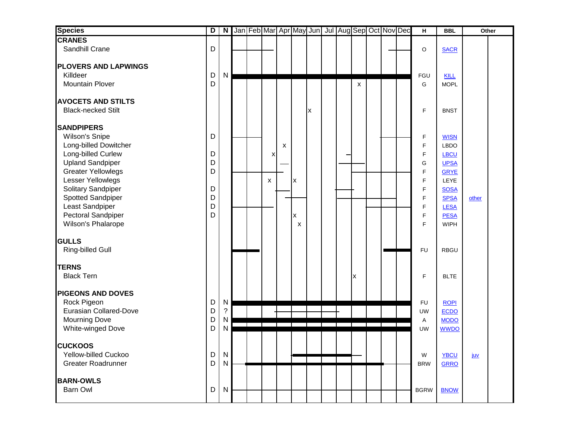| <b>Species</b>                                                                                      | $\overline{D}$ | $\overline{\mathbf{N}}$   |  |   |   |        | Jan Feb Mar Apr May Jun   Jul   Aug Sep Oct   Nov Dec |  |   |  | $\mathbf H$            | <b>BBL</b>                                        |            | Other |
|-----------------------------------------------------------------------------------------------------|----------------|---------------------------|--|---|---|--------|-------------------------------------------------------|--|---|--|------------------------|---------------------------------------------------|------------|-------|
| <b>CRANES</b>                                                                                       |                |                           |  |   |   |        |                                                       |  |   |  |                        |                                                   |            |       |
| Sandhill Crane                                                                                      | D              |                           |  |   |   |        |                                                       |  |   |  | O                      | <b>SACR</b>                                       |            |       |
| <b>PLOVERS AND LAPWINGS</b><br>Killdeer<br>Mountain Plover                                          | D<br>D         | $\mathsf{N}$              |  |   |   |        |                                                       |  | X |  | FGU<br>G               | <b>KILL</b><br><b>MOPL</b>                        |            |       |
| <b>AVOCETS AND STILTS</b><br><b>Black-necked Stilt</b>                                              |                |                           |  |   |   |        | X                                                     |  |   |  | F                      | <b>BNST</b>                                       |            |       |
| <b>SANDPIPERS</b><br>Wilson's Snipe                                                                 | D              |                           |  |   |   |        |                                                       |  |   |  | F                      | <b>WISN</b>                                       |            |       |
| Long-billed Dowitcher<br>Long-billed Curlew<br><b>Upland Sandpiper</b><br><b>Greater Yellowlegs</b> | D<br>D<br>D    |                           |  | x | X |        |                                                       |  |   |  | F<br>F<br>G<br>F       | <b>LBDO</b><br>LBCU<br><b>UPSA</b><br><b>GRYE</b> |            |       |
| Lesser Yellowlegs<br>Solitary Sandpiper<br>Spotted Sandpiper                                        | D<br>D         |                           |  | X |   | X      |                                                       |  |   |  | F<br>F<br>F            | LEYE<br><b>SOSA</b><br><b>SPSA</b>                | other      |       |
| Least Sandpiper<br>Pectoral Sandpiper<br>Wilson's Phalarope                                         | D<br>D         |                           |  |   |   | X<br>X |                                                       |  |   |  | F<br>F<br>F            | <b>LESA</b><br><b>PESA</b><br><b>WIPH</b>         |            |       |
| <b>GULLS</b><br><b>Ring-billed Gull</b>                                                             |                |                           |  |   |   |        |                                                       |  |   |  | <b>FU</b>              | <b>RBGU</b>                                       |            |       |
| <b>TERNS</b><br><b>Black Tern</b>                                                                   |                |                           |  |   |   |        |                                                       |  | X |  | F                      | <b>BLTE</b>                                       |            |       |
| <b>PIGEONS AND DOVES</b><br>Rock Pigeon<br><b>Eurasian Collared-Dove</b>                            | D<br>D         | N<br>$\ddot{\phantom{0}}$ |  |   |   |        |                                                       |  |   |  | <b>FU</b><br><b>UW</b> | <b>ROPI</b><br>ECDO                               |            |       |
| <b>Mourning Dove</b><br>White-winged Dove                                                           | D<br>D         | N<br>N                    |  |   |   |        |                                                       |  |   |  | Α<br><b>UW</b>         | <b>MODO</b><br><b>WWDO</b>                        |            |       |
| <b>CUCKOOS</b><br>Yellow-billed Cuckoo<br><b>Greater Roadrunner</b>                                 | D<br>D         | N<br>N                    |  |   |   |        |                                                       |  |   |  | W<br><b>BRW</b>        | <b>YBCU</b><br><b>GRRO</b>                        | <u>juv</u> |       |
| <b>BARN-OWLS</b><br>Barn Owl                                                                        | D              | N                         |  |   |   |        |                                                       |  |   |  | <b>BGRW</b>            | <b>BNOW</b>                                       |            |       |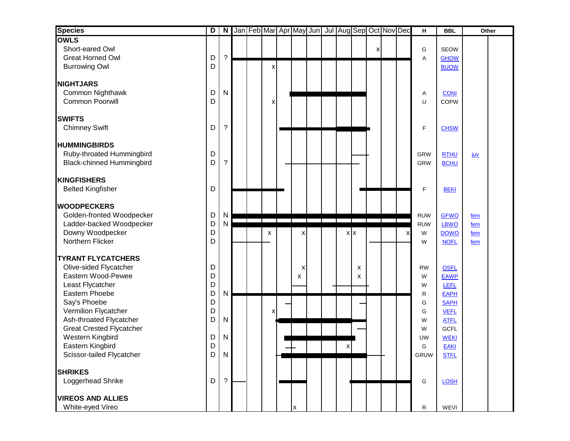| <b>Species</b>                                                                                                                                                                            | D                               |                                        |  |   |        |  |   |            |   | N Jan Feb Mar Apr May Jun Jul Aug Sep Oct Nov Dec |   | H                                                      | <b>BBL</b>                                                                                                    |                   | Other |
|-------------------------------------------------------------------------------------------------------------------------------------------------------------------------------------------|---------------------------------|----------------------------------------|--|---|--------|--|---|------------|---|---------------------------------------------------|---|--------------------------------------------------------|---------------------------------------------------------------------------------------------------------------|-------------------|-------|
| <b>OWLS</b><br>Short-eared Owl<br><b>Great Horned Owl</b><br><b>Burrowing Owl</b>                                                                                                         | D<br>D                          | $\gamma$                               |  | x |        |  |   |            | x |                                                   |   | G<br>A                                                 | <b>SEOW</b><br><b>GHOW</b><br><b>BUOW</b>                                                                     |                   |       |
| <b>NIGHTJARS</b><br>Common Nighthawk<br><b>Common Poorwill</b>                                                                                                                            | D<br>D                          | $\mathsf{N}$                           |  | x |        |  |   |            |   |                                                   |   | Α<br>U                                                 | <b>CONI</b><br><b>COPW</b>                                                                                    |                   |       |
| <b>SWIFTS</b><br><b>Chimney Swift</b>                                                                                                                                                     | D                               | ?                                      |  |   |        |  |   |            |   |                                                   |   | F                                                      | <b>CHSW</b>                                                                                                   |                   |       |
| <b>HUMMINGBIRDS</b><br>Ruby-throated Hummingbird<br><b>Black-chinned Hummingbird</b>                                                                                                      | D<br>D                          | ?                                      |  |   |        |  |   |            |   |                                                   |   | <b>GRW</b><br>GRW                                      | <b>RTHU</b><br><b>BCHU</b>                                                                                    | <u>juv</u>        |       |
| <b>KINGFISHERS</b><br><b>Belted Kingfisher</b>                                                                                                                                            | D                               |                                        |  |   |        |  |   |            |   |                                                   |   | F                                                      | <b>BEKI</b>                                                                                                   |                   |       |
| <b>WOODPECKERS</b><br>Golden-fronted Woodpecker<br>Ladder-backed Woodpecker<br>Downy Woodpecker                                                                                           | D<br>D<br>D                     | $\mathsf{N}$<br>N                      |  | X | х      |  |   | $x \mid x$ |   |                                                   | х | <b>RUW</b><br><b>RUW</b><br>W                          | <b>GFWO</b><br>LBWO<br><b>DOWO</b>                                                                            | fem<br>fem<br>fem |       |
| Northern Flicker<br><b>TYRANT FLYCATCHERS</b><br>Olive-sided Flycatcher<br>Eastern Wood-Pewee<br>Least Flycatcher                                                                         | D<br>D<br>D<br>D                |                                        |  |   | x<br>X |  |   | X<br>X     |   |                                                   |   | W<br><b>RW</b><br>W<br>W                               | <b>NOFL</b><br><b>OSFL</b><br><b>EAWP</b><br>LEFL                                                             | fem               |       |
| Eastern Phoebe<br>Say's Phoebe<br>Vermilion Flycatcher<br>Ash-throated Flycatcher<br><b>Great Crested Flycatcher</b><br>Western Kingbird<br>Eastern Kingbird<br>Scissor-tailed Flycatcher | D<br>D<br>D<br>D<br>D<br>D<br>D | $\mathsf{N}$<br>$\mathsf{N}$<br>N<br>N |  | x |        |  | X |            |   |                                                   |   | R<br>G<br>G<br>W<br>W<br><b>UW</b><br>G<br><b>GRUW</b> | EAPH<br><b>SAPH</b><br><b>VEFL</b><br><b>ATFL</b><br><b>GCFL</b><br><b>WEKI</b><br><b>EAKI</b><br><b>STFL</b> |                   |       |
| <b>SHRIKES</b><br>Loggerhead Shrike<br><b>VIREOS AND ALLIES</b>                                                                                                                           | D                               | ?                                      |  |   |        |  |   |            |   |                                                   |   | G                                                      | <b>LOSH</b>                                                                                                   |                   |       |
| White-eyed Vireo                                                                                                                                                                          |                                 |                                        |  |   | X      |  |   |            |   |                                                   |   | R                                                      | WEVI                                                                                                          |                   |       |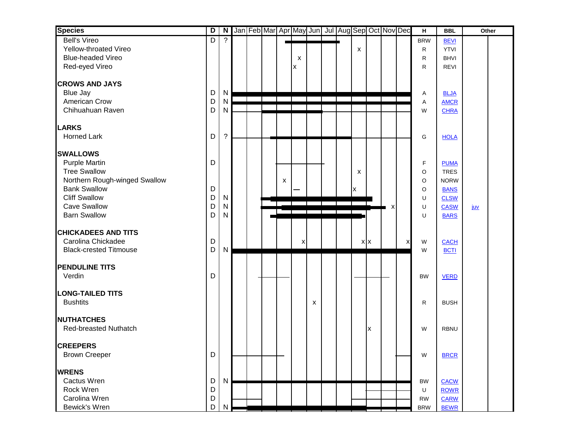| <b>Species</b>                | D |                | N Jan Feb Mar Apr May Jun Jul Aug Sep Oct Nov Dec |  |   |   |   |  |         |   |   |   | н          | <b>BBL</b>                 | Other      |  |
|-------------------------------|---|----------------|---------------------------------------------------|--|---|---|---|--|---------|---|---|---|------------|----------------------------|------------|--|
| <b>Bell's Vireo</b>           | D | $\overline{?}$ |                                                   |  |   |   |   |  |         |   |   |   | <b>BRW</b> | <b>BEVI</b>                |            |  |
| Yellow-throated Vireo         |   |                |                                                   |  |   |   |   |  | X       |   |   |   | R          | <b>YTVI</b>                |            |  |
| <b>Blue-headed Vireo</b>      |   |                |                                                   |  |   | X |   |  |         |   |   |   | R          | <b>BHVI</b>                |            |  |
| Red-eyed Vireo                |   |                |                                                   |  |   | X |   |  |         |   |   |   | R          | <b>REVI</b>                |            |  |
| <b>CROWS AND JAYS</b>         |   |                |                                                   |  |   |   |   |  |         |   |   |   |            |                            |            |  |
| <b>Blue Jay</b>               | D | N              |                                                   |  |   |   |   |  |         |   |   |   | Α          | <b>BLJA</b>                |            |  |
| American Crow                 | D | $\mathsf{N}$   |                                                   |  |   |   |   |  |         |   |   |   | Α          | <b>AMCR</b>                |            |  |
| Chihuahuan Raven              | D | $\mathsf{N}$   |                                                   |  |   |   |   |  |         |   |   |   | W          | <b>CHRA</b>                |            |  |
| <b>LARKS</b>                  |   |                |                                                   |  |   |   |   |  |         |   |   |   |            |                            |            |  |
| <b>Horned Lark</b>            | D | $\overline{?}$ |                                                   |  |   |   |   |  |         |   |   |   | G          | <b>HOLA</b>                |            |  |
| <b>SWALLOWS</b>               |   |                |                                                   |  |   |   |   |  |         |   |   |   |            |                            |            |  |
| <b>Purple Martin</b>          | D |                |                                                   |  |   |   |   |  |         |   |   |   |            |                            |            |  |
| <b>Tree Swallow</b>           |   |                |                                                   |  |   |   |   |  |         |   |   |   | F<br>O     | <b>PUMA</b><br><b>TRES</b> |            |  |
| Northern Rough-winged Swallow |   |                |                                                   |  | X |   |   |  | X       |   |   |   | O          | <b>NORW</b>                |            |  |
| <b>Bank Swallow</b>           | D |                |                                                   |  |   |   |   |  |         |   |   |   | O          | <b>BANS</b>                |            |  |
| <b>Cliff Swallow</b>          | D | $\mathsf{N}$   |                                                   |  |   |   |   |  | X       |   |   |   | U          | <b>CLSW</b>                |            |  |
| <b>Cave Swallow</b>           | D | ${\sf N}$      |                                                   |  |   |   |   |  |         |   | х |   | U          | CASW                       | <u>juv</u> |  |
| <b>Barn Swallow</b>           | D | $\mathsf{N}$   |                                                   |  |   |   |   |  |         |   |   |   | U          | <b>BARS</b>                |            |  |
|                               |   |                |                                                   |  |   |   |   |  |         |   |   |   |            |                            |            |  |
| <b>CHICKADEES AND TITS</b>    |   |                |                                                   |  |   |   |   |  |         |   |   |   |            |                            |            |  |
| Carolina Chickadee            | D |                |                                                   |  |   | х |   |  | $X$ $X$ |   |   | X | W          | <b>CACH</b>                |            |  |
| <b>Black-crested Titmouse</b> | D | $\mathsf{N}$   |                                                   |  |   |   |   |  |         |   |   |   | W          | <b>BCTI</b>                |            |  |
|                               |   |                |                                                   |  |   |   |   |  |         |   |   |   |            |                            |            |  |
| <b>PENDULINE TITS</b>         |   |                |                                                   |  |   |   |   |  |         |   |   |   |            |                            |            |  |
| Verdin                        | D |                |                                                   |  |   |   |   |  |         |   |   |   | <b>BW</b>  | <b>VERD</b>                |            |  |
|                               |   |                |                                                   |  |   |   |   |  |         |   |   |   |            |                            |            |  |
| <b>LONG-TAILED TITS</b>       |   |                |                                                   |  |   |   |   |  |         |   |   |   |            |                            |            |  |
| <b>Bushtits</b>               |   |                |                                                   |  |   |   | X |  |         |   |   |   | R          | <b>BUSH</b>                |            |  |
| <b>NUTHATCHES</b>             |   |                |                                                   |  |   |   |   |  |         |   |   |   |            |                            |            |  |
| <b>Red-breasted Nuthatch</b>  |   |                |                                                   |  |   |   |   |  |         | X |   |   | W          | <b>RBNU</b>                |            |  |
| <b>CREEPERS</b>               |   |                |                                                   |  |   |   |   |  |         |   |   |   |            |                            |            |  |
| <b>Brown Creeper</b>          | D |                |                                                   |  |   |   |   |  |         |   |   |   | W          | <b>BRCR</b>                |            |  |
| <b>WRENS</b>                  |   |                |                                                   |  |   |   |   |  |         |   |   |   |            |                            |            |  |
| Cactus Wren                   | D | N              |                                                   |  |   |   |   |  |         |   |   |   | <b>BW</b>  | <b>CACW</b>                |            |  |
| Rock Wren                     | D |                |                                                   |  |   |   |   |  |         |   |   |   | U          | <b>ROWR</b>                |            |  |
| Carolina Wren                 | D |                |                                                   |  |   |   |   |  |         |   |   |   | <b>RW</b>  | <b>CARW</b>                |            |  |
| Bewick's Wren                 | D |                |                                                   |  |   |   |   |  |         |   |   |   | <b>BRW</b> | <b>BEWR</b>                |            |  |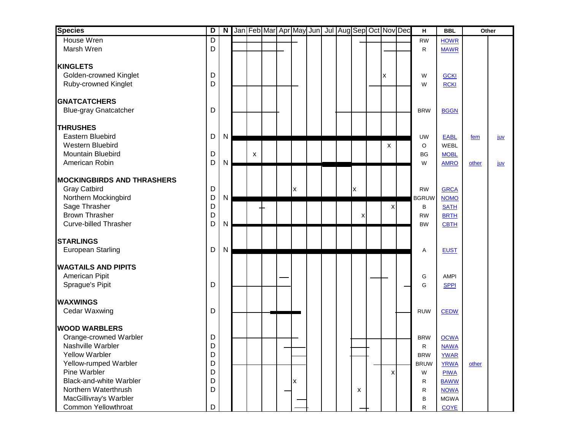| <b>Species</b>                              | $\overline{\mathsf{D}}$ |   |   |  |   |  |   | N Jan Feb Mar Apr May Jun Jul Aug Sep Oct Nov Dec | н                         | <b>BBL</b>                 | Other |     |
|---------------------------------------------|-------------------------|---|---|--|---|--|---|---------------------------------------------------|---------------------------|----------------------------|-------|-----|
| House Wren                                  | D                       |   |   |  |   |  |   |                                                   | <b>RW</b>                 | <b>HOWR</b>                |       |     |
| Marsh Wren                                  | D                       |   |   |  |   |  |   |                                                   | R                         | <b>MAWR</b>                |       |     |
|                                             |                         |   |   |  |   |  |   |                                                   |                           |                            |       |     |
| <b>KINGLETS</b>                             |                         |   |   |  |   |  |   |                                                   |                           |                            |       |     |
| Golden-crowned Kinglet                      | D<br>D                  |   |   |  |   |  |   | X                                                 | W                         | <b>GCKI</b>                |       |     |
| Ruby-crowned Kinglet                        |                         |   |   |  |   |  |   |                                                   | W                         | <b>RCKI</b>                |       |     |
| <b>GNATCATCHERS</b>                         |                         |   |   |  |   |  |   |                                                   |                           |                            |       |     |
| <b>Blue-gray Gnatcatcher</b>                | D                       |   |   |  |   |  |   |                                                   | <b>BRW</b>                | <b>BGGN</b>                |       |     |
| <b>THRUSHES</b>                             |                         |   |   |  |   |  |   |                                                   |                           |                            |       |     |
| Eastern Bluebird                            | D                       | N |   |  |   |  |   |                                                   | <b>UW</b>                 | <b>EABL</b>                |       |     |
| Western Bluebird                            |                         |   |   |  |   |  |   | X                                                 | O                         | WEBL                       | fem   | juv |
| Mountain Bluebird                           | D                       |   | X |  |   |  |   |                                                   | BG                        | <b>MOBL</b>                |       |     |
| American Robin                              | D                       | N |   |  |   |  |   |                                                   | W                         | <b>AMRO</b>                | other | juv |
|                                             |                         |   |   |  |   |  |   |                                                   |                           |                            |       |     |
| <b>MOCKINGBIRDS AND THRASHERS</b>           |                         |   |   |  |   |  |   |                                                   |                           |                            |       |     |
| <b>Gray Catbird</b>                         | D                       |   |   |  | x |  | X |                                                   | <b>RW</b>                 | <b>GRCA</b>                |       |     |
| Northern Mockingbird                        | D                       | Ν |   |  |   |  |   |                                                   | <b>BGRUW</b>              | <b>NOMO</b>                |       |     |
| Sage Thrasher                               | D                       |   |   |  |   |  |   | x                                                 | В                         | <b>SATH</b>                |       |     |
| <b>Brown Thrasher</b>                       | $\mathsf D$             |   |   |  |   |  | X |                                                   | <b>RW</b>                 | <b>BRTH</b>                |       |     |
| <b>Curve-billed Thrasher</b>                | D                       | Ν |   |  |   |  |   |                                                   | <b>BW</b>                 | <b>CBTH</b>                |       |     |
| <b>STARLINGS</b>                            |                         |   |   |  |   |  |   |                                                   |                           |                            |       |     |
| <b>European Starling</b>                    | D                       | N |   |  |   |  |   |                                                   | Α                         | <b>EUST</b>                |       |     |
|                                             |                         |   |   |  |   |  |   |                                                   |                           |                            |       |     |
| <b>WAGTAILS AND PIPITS</b>                  |                         |   |   |  |   |  |   |                                                   |                           |                            |       |     |
| American Pipit                              |                         |   |   |  |   |  |   |                                                   | G                         | <b>AMPI</b>                |       |     |
| Sprague's Pipit                             | D                       |   |   |  |   |  |   |                                                   | G                         | <b>SPPI</b>                |       |     |
| <b>WAXWINGS</b>                             |                         |   |   |  |   |  |   |                                                   |                           |                            |       |     |
| Cedar Waxwing                               | D                       |   |   |  |   |  |   |                                                   | <b>RUW</b>                | <b>CEDW</b>                |       |     |
| <b>WOOD WARBLERS</b>                        |                         |   |   |  |   |  |   |                                                   |                           |                            |       |     |
|                                             | D                       |   |   |  |   |  |   |                                                   |                           |                            |       |     |
| Orange-crowned Warbler<br>Nashville Warbler | D                       |   |   |  |   |  |   |                                                   | <b>BRW</b>                | <b>OCWA</b><br><b>NAWA</b> |       |     |
| <b>Yellow Warbler</b>                       | D                       |   |   |  |   |  |   |                                                   | R                         |                            |       |     |
| Yellow-rumped Warbler                       | D                       |   |   |  |   |  |   |                                                   | <b>BRW</b><br><b>BRUW</b> | <b>YWAR</b><br><b>YRWA</b> | other |     |
| Pine Warbler                                | D                       |   |   |  |   |  |   | x                                                 | W                         | <b>PIWA</b>                |       |     |
| <b>Black-and-white Warbler</b>              | D                       |   |   |  | x |  |   |                                                   | R                         | <b>BAWW</b>                |       |     |
| Northern Waterthrush                        | D                       |   |   |  |   |  | X |                                                   | R                         | <b>NOWA</b>                |       |     |
| MacGillivray's Warbler                      |                         |   |   |  |   |  |   |                                                   | В                         | <b>MGWA</b>                |       |     |
| Common Yellowthroat                         | D                       |   |   |  |   |  |   |                                                   | ${\sf R}$                 | <b>COYE</b>                |       |     |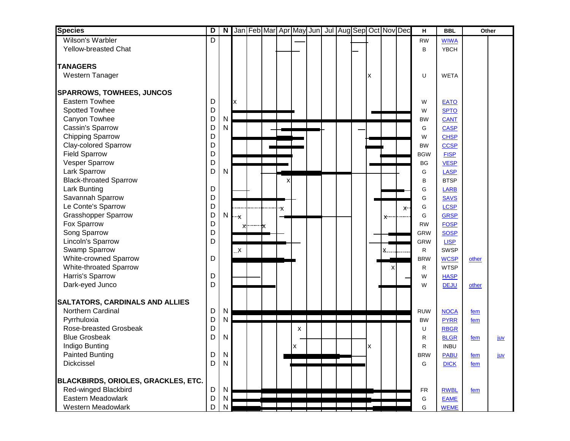| <b>Species</b>                             | D            | N            |              |                  |    |    | Jan Feb Mar Apr May Jun Jul Aug Sep Oct Nov Dec |  |    |            |    | н              | <b>BBL</b>                 | Other |            |
|--------------------------------------------|--------------|--------------|--------------|------------------|----|----|-------------------------------------------------|--|----|------------|----|----------------|----------------------------|-------|------------|
| Wilson's Warbler                           | D            |              |              |                  |    |    |                                                 |  |    |            |    | <b>RW</b>      | <b>WIWA</b>                |       |            |
| <b>Yellow-breasted Chat</b>                |              |              |              |                  |    |    |                                                 |  |    |            |    | B              | <b>YBCH</b>                |       |            |
|                                            |              |              |              |                  |    |    |                                                 |  |    |            |    |                |                            |       |            |
| <b>TANAGERS</b>                            |              |              |              |                  |    |    |                                                 |  |    |            |    |                |                            |       |            |
| Western Tanager                            |              |              |              |                  |    |    |                                                 |  | X  |            |    | U              | <b>WETA</b>                |       |            |
| <b>SPARROWS, TOWHEES, JUNCOS</b>           |              |              |              |                  |    |    |                                                 |  |    |            |    |                |                            |       |            |
| <b>Eastern Towhee</b>                      | D            |              | X            |                  |    |    |                                                 |  |    |            |    | W              | <b>EATO</b>                |       |            |
| Spotted Towhee                             | $\mathsf{D}$ |              |              |                  |    |    |                                                 |  |    |            |    | W              | <b>SPTO</b>                |       |            |
| Canyon Towhee                              | D            | N            |              |                  |    |    |                                                 |  |    |            |    | <b>BW</b>      | <b>CANT</b>                |       |            |
| Cassin's Sparrow                           | D            | N            |              |                  |    |    |                                                 |  |    |            |    | G              | <b>CASP</b>                |       |            |
| <b>Chipping Sparrow</b>                    | D            |              |              |                  |    |    |                                                 |  |    |            |    | W              | <b>CHSP</b>                |       |            |
| Clay-colored Sparrow                       | D            |              |              |                  |    |    |                                                 |  |    |            |    | <b>BW</b>      | <b>CCSP</b>                |       |            |
| <b>Field Sparrow</b>                       | D            |              |              |                  |    |    |                                                 |  |    |            |    | <b>BGW</b>     | <b>FISP</b>                |       |            |
| Vesper Sparrow                             | D            |              |              |                  |    |    |                                                 |  |    |            |    | <b>BG</b>      | <b>VESP</b>                |       |            |
| Lark Sparrow                               | D            | N            |              |                  |    |    |                                                 |  |    |            |    | G              | <b>LASP</b>                |       |            |
| <b>Black-throated Sparrow</b>              |              |              |              |                  | X  |    |                                                 |  |    |            |    | B              | <b>BTSP</b>                |       |            |
| Lark Bunting                               | D            |              |              |                  |    |    |                                                 |  |    |            |    | G              | <b>LARB</b>                |       |            |
| Savannah Sparrow                           | D            |              |              |                  |    |    |                                                 |  |    |            |    | G              | <b>SAVS</b>                |       |            |
| Le Conte's Sparrow                         | D            |              |              |                  | 'Χ |    |                                                 |  |    |            | X. | G              | <b>LCSP</b>                |       |            |
| <b>Grasshopper Sparrow</b>                 | D            | N            | ÷χ           |                  |    |    |                                                 |  |    | <b>X……</b> |    | G              | <b>GRSP</b>                |       |            |
| Fox Sparrow                                | D            |              |              | $x$ $\cdots$ $x$ |    |    |                                                 |  |    |            |    | <b>RW</b>      | <b>FOSP</b>                |       |            |
| Song Sparrow                               | D            |              |              |                  |    |    |                                                 |  |    |            |    | <b>GRW</b>     | <b>SOSP</b>                |       |            |
| Lincoln's Sparrow                          | D            |              |              |                  |    |    |                                                 |  |    |            |    | <b>GRW</b>     | <b>LISP</b>                |       |            |
| Swamp Sparrow                              |              |              | $\mathsf{x}$ |                  |    |    |                                                 |  |    | <b>X</b>   |    | R              | <b>SWSP</b>                |       |            |
| White-crowned Sparrow                      | D            |              |              |                  |    |    |                                                 |  |    |            |    | <b>BRW</b>     | <b>WCSP</b>                | other |            |
| White-throated Sparrow                     |              |              |              |                  |    |    |                                                 |  |    | х          |    | R              | <b>WTSP</b>                |       |            |
| Harris's Sparrow                           | D            |              |              |                  |    |    |                                                 |  |    |            |    | W              | <b>HASP</b>                |       |            |
| Dark-eyed Junco                            | D            |              |              |                  |    |    |                                                 |  |    |            |    | W              | <b>DEJU</b>                | other |            |
|                                            |              |              |              |                  |    |    |                                                 |  |    |            |    |                |                            |       |            |
| <b>SALTATORS, CARDINALS AND ALLIES</b>     |              |              |              |                  |    |    |                                                 |  |    |            |    |                |                            |       |            |
| Northern Cardinal                          | D            | N            |              |                  |    |    |                                                 |  |    |            |    | <b>RUW</b>     | <b>NOCA</b>                | fem   |            |
| Pyrrhuloxia                                | D            | N            |              |                  |    |    |                                                 |  |    |            |    | <b>BW</b>      | <b>PYRR</b>                | fem   |            |
| Rose-breasted Grosbeak                     | D            |              |              |                  |    | x  |                                                 |  |    |            |    | U              | <b>RBGR</b>                |       |            |
| <b>Blue Grosbeak</b>                       | D            | N            |              |                  |    |    |                                                 |  |    |            |    | R              | <b>BLGR</b>                | fem   | <u>juv</u> |
| Indigo Bunting                             |              |              |              |                  |    | Ιx |                                                 |  | Ιx |            |    | R              | <b>INBU</b>                |       |            |
| <b>Painted Bunting</b>                     | D            | N            |              |                  |    |    |                                                 |  |    |            |    | <b>BRW</b>     | <b>PABU</b>                | fem   | juv        |
| Dickcissel                                 | D            | N            |              |                  |    |    |                                                 |  |    |            |    | G              | <b>DICK</b>                | fem   |            |
| <b>BLACKBIRDS, ORIOLES, GRACKLES, ETC.</b> |              |              |              |                  |    |    |                                                 |  |    |            |    |                |                            |       |            |
| <b>Red-winged Blackbird</b>                | D            | $\mathsf{N}$ |              |                  |    |    |                                                 |  |    |            |    |                |                            |       |            |
| Eastern Meadowlark                         | D            | N            |              |                  |    |    |                                                 |  |    |            |    | <b>FR</b><br>G | <b>RWBL</b><br><b>EAME</b> | fem   |            |
| <b>Western Meadowlark</b>                  | D            | N            |              |                  |    |    |                                                 |  |    |            |    | G              | <b>WEME</b>                |       |            |
|                                            |              |              |              |                  |    |    |                                                 |  |    |            |    |                |                            |       |            |